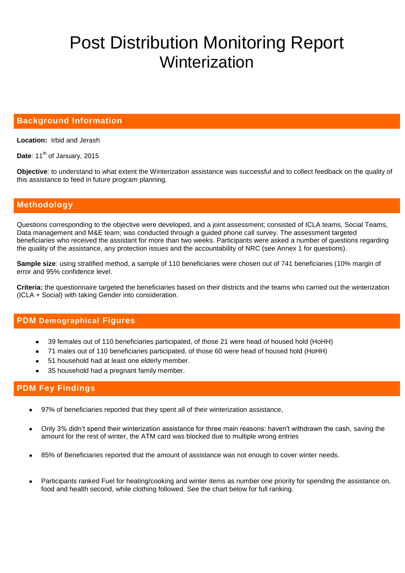# Post Distribution Monitoring Report **Winterization**

### **Background Information**

**Location:** Irbid and Jerash

Date: 11<sup>th</sup> of January, 2015

**Objective**: to understand to what extent the Winterization assistance was successful and to collect feedback on the quality of this assistance to feed in future program planning.

## **Methodology**

Questions corresponding to the objective were developed, and a joint assessment; consisted of ICLA teams, Social Teams, Data management and M&E team; was conducted through a guided phone call survey. The assessment targeted beneficiaries who received the assistant for more than two weeks. Participants were asked a number of questions regarding the quality of the assistance, any protection issues and the accountability of NRC (see Annex 1 for questions).

**Sample size**: using stratified method, a sample of 110 beneficiaries were chosen out of 741 beneficiaries (10% margin of error and 95% confidence level.

**Criteria:** the questionnaire targeted the beneficiaries based on their districts and the teams who carried out the winterization (ICLA + Social) with taking Gender into consideration.

#### **PDM Demographical Figures**

- 39 females out of 110 beneficiaries participated, of those 21 were head of housed hold (HoHH)
- 71 males out of 110 beneficiaries participated, of those 60 were head of housed hold (HoHH)
- 51 household had at least one elderly member.
- 35 household had a pregnant family member.

# **PDM Fey Findings**

- 97% of beneficiaries reported that they spent all of their winterization assistance,
- Only 3% didn't spend their winterization assistance for three main reasons: haven't withdrawn the cash, saving the  $\bullet$ amount for the rest of winter, the ATM card was blocked due to multiple wrong entries
- 85% of Beneficiaries reported that the amount of assistance was not enough to cover winter needs.  $\bullet$
- Participants ranked Fuel for heating/cooking and winter items as number one priority for spending the assistance on,  $\bullet$ food and health second, while clothing followed. See the chart below for full ranking.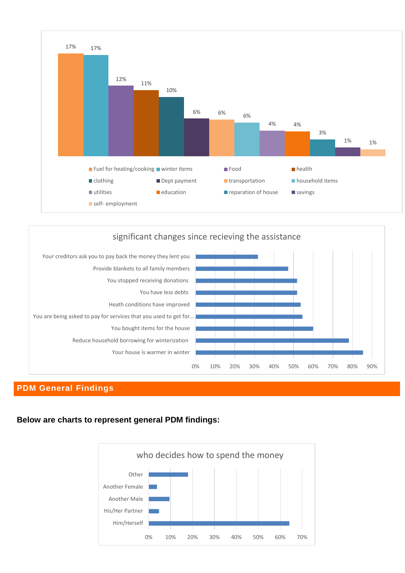



# **PDM General Findings**

### **Below are charts to represent general PDM findings:**

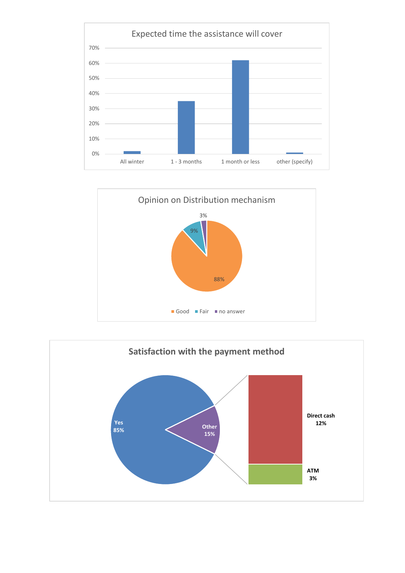



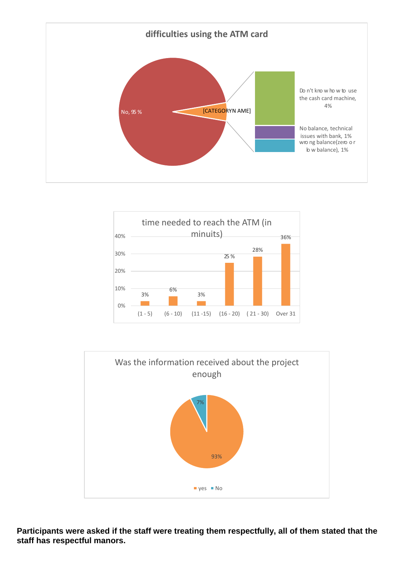





**Participants were asked if the staff were treating them respectfully, all of them stated that the staff has respectful manors.**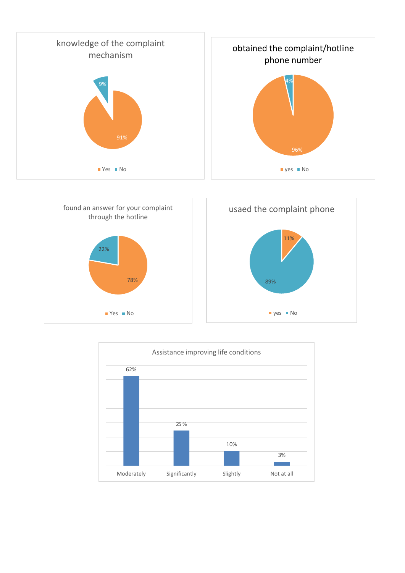





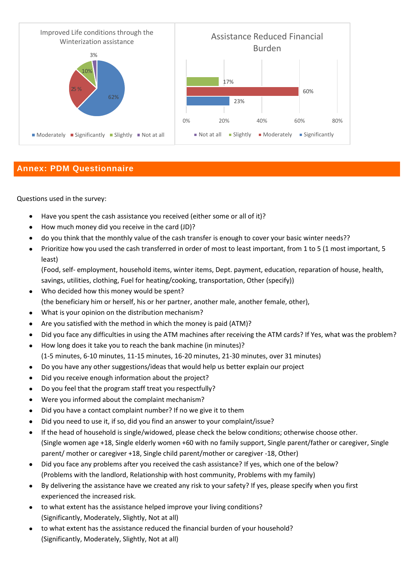

# **Annex: PDM Questionnaire**

Questions used in the survey:

- Have you spent the cash assistance you received (either some or all of it)?  $\bullet$
- $\bullet$ How much money did you receive in the card (JD)?
- do you think that the monthly value of the cash transfer is enough to cover your basic winter needs??  $\bullet$
- Prioritize how you used the cash transferred in order of most to least important, from 1 to 5 (1 most important, 5  $\bullet$ least)

(Food, self- employment, household items, winter items, Dept. payment, education, reparation of house, health, savings, utilities, clothing, Fuel for heating/cooking, transportation, Other (specify))

- Who decided how this money would be spent?  $\bullet$ (the beneficiary him or herself, his or her partner, another male, another female, other),
- What is your opinion on the distribution mechanism?  $\bullet$
- Are you satisfied with the method in which the money is paid (ATM)?  $\bullet$
- Did you face any difficulties in using the ATM machines after receiving the ATM cards? If Yes, what was the problem?  $\bullet$
- How long does it take you to reach the bank machine (in minutes)?  $\bullet$ (1-5 minutes, 6-10 minutes, 11-15 minutes, 16-20 minutes, 21-30 minutes, over 31 minutes)
- Do you have any other suggestions/ideas that would help us better explain our project
- $\bullet$ Did you receive enough information about the project?
- Do you feel that the program staff treat you respectfully?  $\bullet$
- Were you informed about the complaint mechanism?  $\bullet$
- Did you have a contact complaint number? If no we give it to them  $\bullet$
- Did you need to use it, if so, did you find an answer to your complaint/issue?  $\bullet$
- If the head of household is single/widowed, please check the below conditions; otherwise choose other.  $\bullet$ (Single women age +18, Single elderly women +60 with no family support, Single parent/father or caregiver, Single parent/ mother or caregiver +18, Single child parent/mother or caregiver -18, Other)
- $\bullet$ Did you face any problems after you received the cash assistance? If yes, which one of the below? (Problems with the landlord, Relationship with host community, Problems with my family)
- By delivering the assistance have we created any risk to your safety? If yes, please specify when you first  $\bullet$ experienced the increased risk.
- to what extent has the assistance helped improve your living conditions?  $\bullet$ (Significantly, Moderately, Slightly, Not at all)
- to what extent has the assistance reduced the financial burden of your household?  $\bullet$ (Significantly, Moderately, Slightly, Not at all)